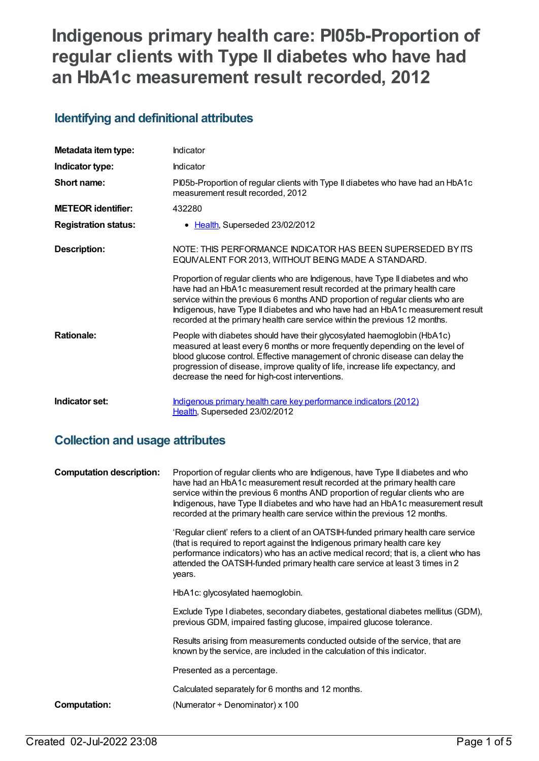# **Indigenous primary health care: PI05b-Proportion of regular clients with Type II diabetes who have had an HbA1c measurement result recorded, 2012**

# **Identifying and definitional attributes**

| Metadata item type:         | Indicator                                                                                                                                                                                                                                                                                                                                                                                                     |
|-----------------------------|---------------------------------------------------------------------------------------------------------------------------------------------------------------------------------------------------------------------------------------------------------------------------------------------------------------------------------------------------------------------------------------------------------------|
| Indicator type:             | Indicator                                                                                                                                                                                                                                                                                                                                                                                                     |
| Short name:                 | Pl05b-Proportion of regular clients with Type II diabetes who have had an HbA1c<br>measurement result recorded, 2012                                                                                                                                                                                                                                                                                          |
| <b>METEOR identifier:</b>   | 432280                                                                                                                                                                                                                                                                                                                                                                                                        |
| <b>Registration status:</b> | • Health, Superseded 23/02/2012                                                                                                                                                                                                                                                                                                                                                                               |
| <b>Description:</b>         | NOTE: THIS PERFORMANCE INDICATOR HAS BEEN SUPERSEDED BY ITS<br>EQUIVALENT FOR 2013, WITHOUT BEING MADE A STANDARD.                                                                                                                                                                                                                                                                                            |
|                             | Proportion of regular clients who are Indigenous, have Type II diabetes and who<br>have had an HbA1c measurement result recorded at the primary health care<br>service within the previous 6 months AND proportion of regular clients who are<br>Indigenous, have Type II diabetes and who have had an HbA1c measurement result<br>recorded at the primary health care service within the previous 12 months. |
| <b>Rationale:</b>           | People with diabetes should have their glycosylated haemoglobin (HbA1c)<br>measured at least every 6 months or more frequently depending on the level of<br>blood glucose control. Effective management of chronic disease can delay the<br>progression of disease, improve quality of life, increase life expectancy, and<br>decrease the need for high-cost interventions.                                  |
| Indicator set:              | Indigenous primary health care key performance indicators (2012)<br>Health, Superseded 23/02/2012                                                                                                                                                                                                                                                                                                             |

# **Collection and usage attributes**

| <b>Computation description:</b> | Proportion of regular clients who are Indigenous, have Type II diabetes and who<br>have had an HbA1c measurement result recorded at the primary health care<br>service within the previous 6 months AND proportion of regular clients who are<br>Indigenous, have Type II diabetes and who have had an HbA1c measurement result<br>recorded at the primary health care service within the previous 12 months. |
|---------------------------------|---------------------------------------------------------------------------------------------------------------------------------------------------------------------------------------------------------------------------------------------------------------------------------------------------------------------------------------------------------------------------------------------------------------|
|                                 | 'Regular client' refers to a client of an OATSIH-funded primary health care service<br>(that is required to report against the Indigenous primary health care key<br>performance indicators) who has an active medical record; that is, a client who has<br>attended the OATSIH-funded primary health care service at least 3 times in 2<br>years.                                                            |
|                                 | HbA1c: glycosylated haemoglobin.                                                                                                                                                                                                                                                                                                                                                                              |
|                                 | Exclude Type I diabetes, secondary diabetes, gestational diabetes mellitus (GDM),<br>previous GDM, impaired fasting glucose, impaired glucose tolerance.                                                                                                                                                                                                                                                      |
|                                 | Results arising from measurements conducted outside of the service, that are<br>known by the service, are included in the calculation of this indicator.                                                                                                                                                                                                                                                      |
|                                 | Presented as a percentage.                                                                                                                                                                                                                                                                                                                                                                                    |
|                                 | Calculated separately for 6 months and 12 months.                                                                                                                                                                                                                                                                                                                                                             |
| <b>Computation:</b>             | (Numerator $\div$ Denominator) x 100                                                                                                                                                                                                                                                                                                                                                                          |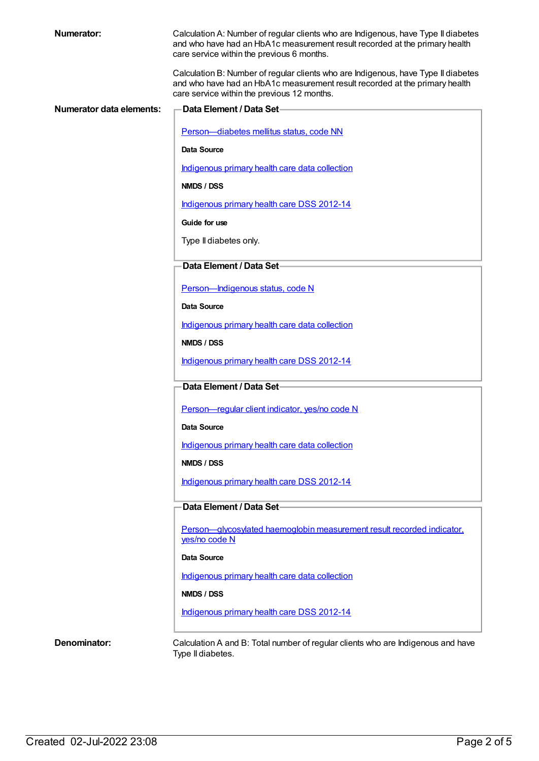| <b>Numerator:</b>        | Calculation A: Number of regular clients who are Indigenous, have Type II diabetes<br>and who have had an HbA1c measurement result recorded at the primary health<br>care service within the previous 6 months.  |
|--------------------------|------------------------------------------------------------------------------------------------------------------------------------------------------------------------------------------------------------------|
|                          | Calculation B: Number of regular clients who are Indigenous, have Type II diabetes<br>and who have had an HbA1c measurement result recorded at the primary health<br>care service within the previous 12 months. |
| Numerator data elements: | <b>Data Element / Data Set-</b>                                                                                                                                                                                  |
|                          | Person-diabetes mellitus status, code NN                                                                                                                                                                         |
|                          | Data Source                                                                                                                                                                                                      |
|                          | Indigenous primary health care data collection                                                                                                                                                                   |
|                          | NMDS / DSS                                                                                                                                                                                                       |
|                          | Indigenous primary health care DSS 2012-14                                                                                                                                                                       |
|                          | Guide for use                                                                                                                                                                                                    |
|                          | Type II diabetes only.                                                                                                                                                                                           |
|                          | Data Element / Data Set-                                                                                                                                                                                         |
|                          | Person-Indigenous status, code N                                                                                                                                                                                 |
|                          | Data Source                                                                                                                                                                                                      |
|                          | Indigenous primary health care data collection                                                                                                                                                                   |
|                          | NMDS / DSS                                                                                                                                                                                                       |
|                          | Indigenous primary health care DSS 2012-14                                                                                                                                                                       |
|                          | Data Element / Data Set-                                                                                                                                                                                         |
|                          | Person-regular client indicator, yes/no code N                                                                                                                                                                   |
|                          | Data Source                                                                                                                                                                                                      |
|                          | Indigenous primary health care data collection                                                                                                                                                                   |
|                          | NMDS / DSS                                                                                                                                                                                                       |
|                          | Indigenous primary health care DSS 2012-14                                                                                                                                                                       |
|                          | Data Element / Data Set-                                                                                                                                                                                         |
|                          | Person-glycosylated haemoglobin measurement result recorded indicator.<br>yes/no code N                                                                                                                          |
|                          | Data Source                                                                                                                                                                                                      |
|                          | Indigenous primary health care data collection                                                                                                                                                                   |
|                          | NMDS / DSS                                                                                                                                                                                                       |
|                          | Indigenous primary health care DSS 2012-14                                                                                                                                                                       |
| Denominator:             | Calculation A and B: Total number of regular clients who are Indigenous and have<br>Type II diabetes.                                                                                                            |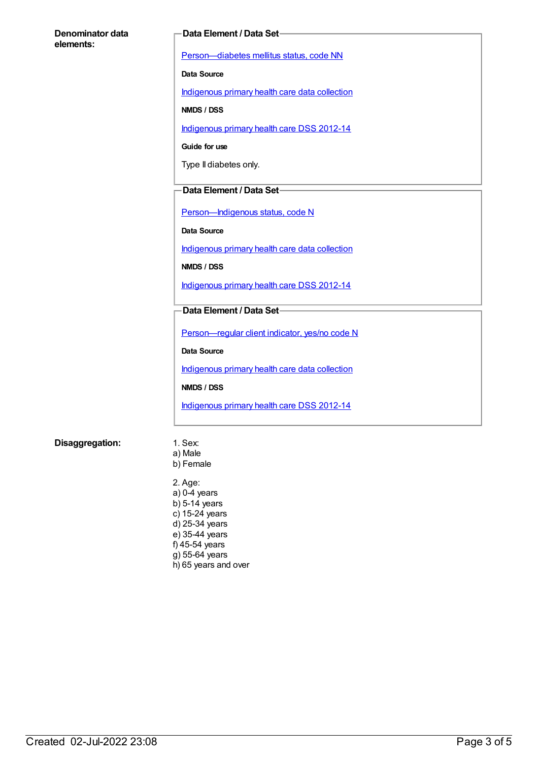#### **Denominator data elements:**

#### **Data Element / Data Set**

[Person—diabetes](https://meteor.aihw.gov.au/content/270194) mellitus status, code NN

**Data Source**

[Indigenous](https://meteor.aihw.gov.au/content/430643) primary health care data collection

**NMDS / DSS**

[Indigenous](https://meteor.aihw.gov.au/content/430629) primary health care DSS 2012-14

**Guide for use**

Type II diabetes only.

#### **Data Element / Data Set**

[Person—Indigenous](https://meteor.aihw.gov.au/content/291036) status, code N

**Data Source**

[Indigenous](https://meteor.aihw.gov.au/content/430643) primary health care data collection

**NMDS / DSS**

[Indigenous](https://meteor.aihw.gov.au/content/430629) primary health care DSS 2012-14

#### **Data Element / Data Set**

[Person—regular](https://meteor.aihw.gov.au/content/436639) client indicator, yes/no code N

**Data Source**

[Indigenous](https://meteor.aihw.gov.au/content/430643) primary health care data collection

**NMDS / DSS**

[Indigenous](https://meteor.aihw.gov.au/content/430629) primary health care DSS 2012-14

#### **Disaggregation:** 1. Sex:

- a) Male b) Female
- 2. Age: a) 0-4 years b) 5-14 years c) 15-24 years d) 25-34 years e) 35-44 years f) 45-54 years g) 55-64 years h) 65 years and over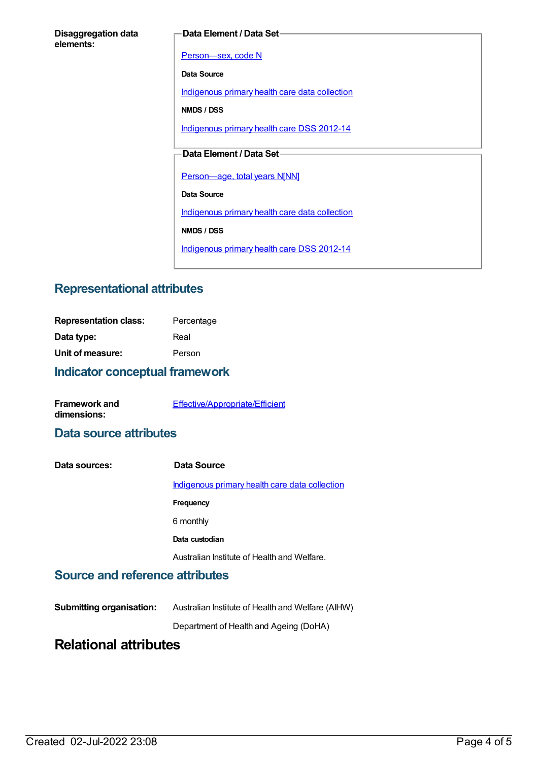#### **Data Element / Data Set**

[Person—sex,](https://meteor.aihw.gov.au/content/287316) code N

**Data Source**

[Indigenous](https://meteor.aihw.gov.au/content/430643) primary health care data collection

**NMDS / DSS**

[Indigenous](https://meteor.aihw.gov.au/content/430629) primary health care DSS 2012-14

### **Data Element / Data Set**

[Person—age,](https://meteor.aihw.gov.au/content/303794) total years N[NN]

**Data Source**

[Indigenous](https://meteor.aihw.gov.au/content/430643) primary health care data collection

**NMDS / DSS**

[Indigenous](https://meteor.aihw.gov.au/content/430629) primary health care DSS 2012-14

### **Representational attributes**

| <b>Representation class:</b> | Percentage |
|------------------------------|------------|
| Data type:                   | Real       |
| Unit of measure:             | Person     |
|                              |            |

### **Indicator conceptual framework**

| <b>Framework and</b> | Effective/Appropriate/Efficient |
|----------------------|---------------------------------|
| dimensions:          |                                 |

### **Data source attributes**

| Data sources: | Data Source                                    |
|---------------|------------------------------------------------|
|               | Indigenous primary health care data collection |
|               | <b>Frequency</b>                               |
|               | 6 monthly                                      |
|               | Data custodian                                 |
|               | Australian Institute of Health and Welfare.    |

### **Source and reference attributes**

| <b>Submitting organisation:</b> | Australian Institute of Health and Welfare (AIHW) |
|---------------------------------|---------------------------------------------------|
|                                 | Department of Health and Ageing (DoHA)            |

# **Relational attributes**